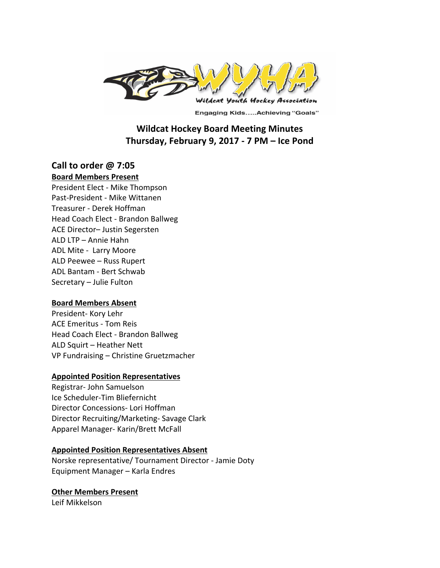

**Engaging Kids.....Achieving "Goals"** 

# **Wildcat Hockey Board Meeting Minutes Thursday, February 9, 2017 - 7 PM – Ice Pond**

# **Call to order @ 7:05**

**Board Members Present** 

President Elect - Mike Thompson Past-President - Mike Wittanen Treasurer - Derek Hoffman Head Coach Elect - Brandon Ballweg ACE Director- Justin Segersten ALD LTP - Annie Hahn ADL Mite - Larry Moore ALD Peewee - Russ Rupert ADL Bantam - Bert Schwab Secretary - Julie Fulton

## **Board Members Absent**

President- Kory Lehr ACE Emeritus - Tom Reis Head Coach Elect - Brandon Ballweg ALD Squirt - Heather Nett VP Fundraising - Christine Gruetzmacher

## **Appointed Position Representatives**

Registrar- John Samuelson Ice Scheduler-Tim Bliefernicht Director Concessions- Lori Hoffman Director Recruiting/Marketing- Savage Clark Apparel Manager- Karin/Brett McFall

#### **Appointed Position Representatives Absent**

Norske representative/ Tournament Director - Jamie Doty Equipment Manager - Karla Endres

**Other Members Present** 

Leif Mikkelson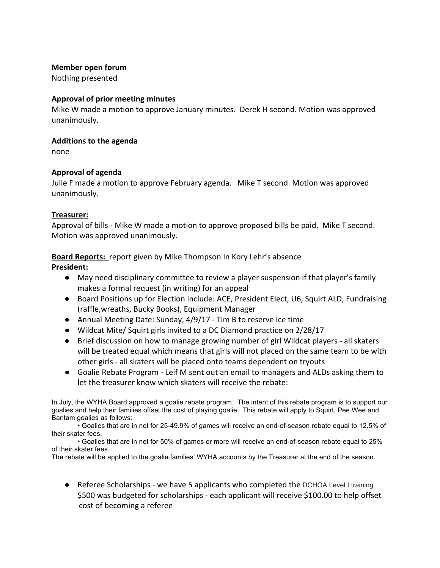### **Member open forum**

Nothing presented

## **Approval of prior meeting minutes**

Mike W made a motion to approve January minutes. Derek H second. Motion was approved unanimously. 

#### **Additions to the agenda**

none

## **Approval of agenda**

Julie F made a motion to approve February agenda. Mike T second. Motion was approved unanimously. 

## **Treasurer:**

Approval of bills - Mike W made a motion to approve proposed bills be paid. Mike T second. Motion was approved unanimously.

# **Board Reports:** report given by Mike Thompson In Kory Lehr's absence

## **President:**

- May need disciplinary committee to review a player suspension if that player's family makes a formal request (in writing) for an appeal
- Board Positions up for Election include: ACE, President Elect, U6, Squirt ALD, Fundraising (raffle,wreaths, Bucky Books), Equipment Manager
- Annual Meeting Date: Sunday,  $4/9/17$  Tim B to reserve Ice time
- Wildcat Mite/ Squirt girls invited to a DC Diamond practice on 2/28/17
- Brief discussion on how to manage growing number of girl Wildcat players all skaters will be treated equal which means that girls will not placed on the same team to be with other girls - all skaters will be placed onto teams dependent on tryouts
- Goalie Rebate Program Leif M sent out an email to managers and ALDs asking them to let the treasurer know which skaters will receive the rebate:

In July, the WYHA Board approved a goalie rebate program. The intent of this rebate program is to support our goalies and help their families offset the cost of playing goalie. This rebate will apply to Squirt, Pee Wee and Bantam goalies as follows:

• Goalies that are in net for 25-49.9% of games will receive an end-of-season rebate equal to 12.5% of their skater fees.

• Goalies that are in net for 50% of games or more will receive an end-of-season rebate equal to 25% of their skater fees.

The rebate will be applied to the goalie families' WYHA accounts by the Treasurer at the end of the season.

● Referee Scholarships - we have 5 applicants who completed the DCHOA Level I training \$500 was budgeted for scholarships - each applicant will receive \$100.00 to help offset cost of becoming a referee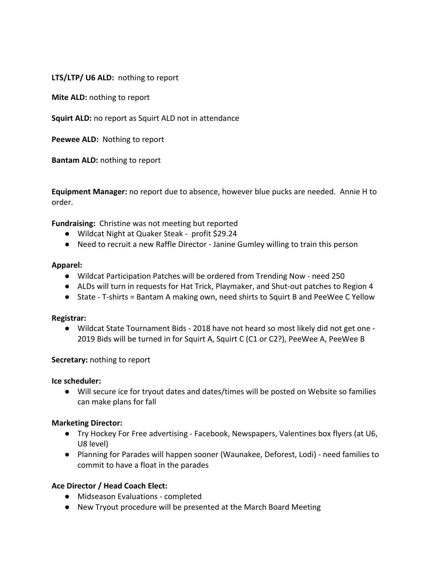LTS/LTP/ U6 ALD: nothing to report

**Mite ALD:** nothing to report

**Squirt ALD:** no report as Squirt ALD not in attendance

**Peewee ALD:** Nothing to report

**Bantam ALD:** nothing to report

**Equipment Manager:** no report due to absence, however blue pucks are needed. Annie H to order.

**Fundraising:** Christine was not meeting but reported

- Wildcat Night at Quaker Steak profit \$29.24
- Need to recruit a new Raffle Director Janine Gumley willing to train this person

#### **Apparel:**

- Wildcat Participation Patches will be ordered from Trending Now need 250
- ALDs will turn in requests for Hat Trick, Playmaker, and Shut-out patches to Region 4
- State T-shirts = Bantam A making own, need shirts to Squirt B and PeeWee C Yellow

#### **Registrar:**

● Wildcat State Tournament Bids - 2018 have not heard so most likely did not get one -2019 Bids will be turned in for Squirt A, Squirt C (C1 or C2?), PeeWee A, PeeWee B

## **Secretary:** nothing to report

**Ice scheduler:** 

● Will secure ice for tryout dates and dates/times will be posted on Website so families can make plans for fall

## **Marketing Director:**

- Try Hockey For Free advertising Facebook, Newspapers, Valentines box flyers (at U6, U8 level)
- Planning for Parades will happen sooner (Waunakee, Deforest, Lodi) need families to commit to have a float in the parades

## **Ace Director / Head Coach Elect:**

- Midseason Evaluations completed
- New Tryout procedure will be presented at the March Board Meeting